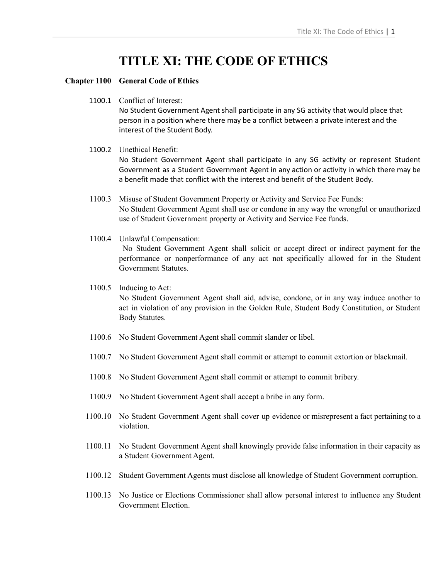# **TITLE XI: THE CODE OF ETHICS**

### **Chapter 1100 General Code of Ethics**

1100.1 Conflict of Interest:

No Student Government Agent shall participate in any SG activity that would place that person in a position where there may be a conflict between a private interest and the interest of the Student Body.

1100.2 Unethical Benefit: No Student Government Agent shall participate in any SG activity or represent Student Government as a Student Government Agent in any action or activity in which there may be a benefit made that conflict with the interest and benefit of the Student Body.

1100.3 Misuse of Student Government Property or Activity and Service Fee Funds: No Student Government Agent shall use or condone in any way the wrongful or unauthorized use of Student Government property or Activity and Service Fee funds.

1100.4 Unlawful Compensation: No Student Government Agent shall solicit or accept direct or indirect payment for the performance or nonperformance of any act not specifically allowed for in the Student Government Statutes.

- 1100.5 Inducing to Act: No Student Government Agent shall aid, advise, condone, or in any way induce another to act in violation of any provision in the Golden Rule, Student Body Constitution, or Student Body Statutes.
- 1100.6 No Student Government Agent shall commit slander or libel.
- 1100.7 No Student Government Agent shall commit or attempt to commit extortion or blackmail.
- 1100.8 No Student Government Agent shall commit or attempt to commit bribery.
- 1100.9 No Student Government Agent shall accept a bribe in any form.
- 1100.10 No Student Government Agent shall cover up evidence or misrepresent a fact pertaining to a violation.
- 1100.11 No Student Government Agent shall knowingly provide false information in their capacity as a Student Government Agent.
- 1100.12 Student Government Agents must disclose all knowledge of Student Government corruption.
- 1100.13 No Justice or Elections Commissioner shall allow personal interest to influence any Student Government Election.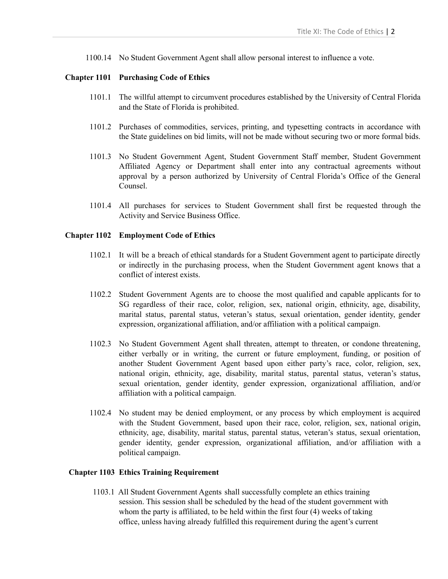1100.14 No Student Government Agent shall allow personal interest to influence a vote.

#### **Chapter 1101 Purchasing Code of Ethics**

- 1101.1 The willful attempt to circumvent procedures established by the University of Central Florida and the State of Florida is prohibited.
- 1101.2 Purchases of commodities, services, printing, and typesetting contracts in accordance with the State guidelines on bid limits, will not be made without securing two or more formal bids.
- 1101.3 No Student Government Agent, Student Government Staff member, Student Government Affiliated Agency or Department shall enter into any contractual agreements without approval by a person authorized by University of Central Florida's Office of the General Counsel.
- 1101.4 All purchases for services to Student Government shall first be requested through the Activity and Service Business Office.

#### **Chapter 1102 Employment Code of Ethics**

- 1102.1 It will be a breach of ethical standards for a Student Government agent to participate directly or indirectly in the purchasing process, when the Student Government agent knows that a conflict of interest exists.
- 1102.2 Student Government Agents are to choose the most qualified and capable applicants for to SG regardless of their race, color, religion, sex, national origin, ethnicity, age, disability, marital status, parental status, veteran's status, sexual orientation, gender identity, gender expression, organizational affiliation, and/or affiliation with a political campaign.
- 1102.3 No Student Government Agent shall threaten, attempt to threaten, or condone threatening, either verbally or in writing, the current or future employment, funding, or position of another Student Government Agent based upon either party's race, color, religion, sex, national origin, ethnicity, age, disability, marital status, parental status, veteran's status, sexual orientation, gender identity, gender expression, organizational affiliation, and/or affiliation with a political campaign.
- 1102.4 No student may be denied employment, or any process by which employment is acquired with the Student Government, based upon their race, color, religion, sex, national origin, ethnicity, age, disability, marital status, parental status, veteran's status, sexual orientation, gender identity, gender expression, organizational affiliation, and/or affiliation with a political campaign.

#### **Chapter 1103 Ethics Training Requirement**

1103.1 All Student Government Agents shall successfully complete an ethics training session. This session shall be scheduled by the head of the student government with whom the party is affiliated, to be held within the first four (4) weeks of taking office, unless having already fulfilled this requirement during the agent's current